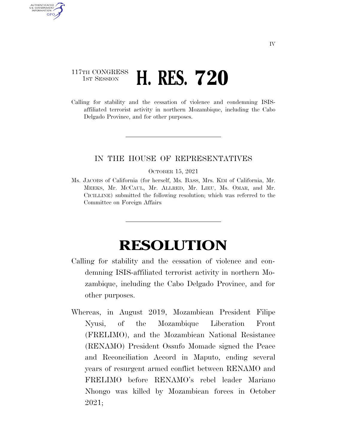## 117TH CONGRESS **1ST SESSION <b>H. RES. 720**

AUTHENTICATED U.S. GOVERNMENT **GPO** 

> Calling for stability and the cessation of violence and condemning ISISaffiliated terrorist activity in northern Mozambique, including the Cabo Delgado Province, and for other purposes.

## IN THE HOUSE OF REPRESENTATIVES

## OCTOBER 15, 2021

Ms. JACOBS of California (for herself, Ms. BASS, Mrs. KIM of California, Mr. MEEKS, Mr. MCCAUL, Mr. ALLRED, Mr. LIEU, Ms. OMAR, and Mr. CICILLINE) submitted the following resolution; which was referred to the Committee on Foreign Affairs

## **RESOLUTION**

- Calling for stability and the cessation of violence and condemning ISIS-affiliated terrorist activity in northern Mozambique, including the Cabo Delgado Province, and for other purposes.
- Whereas, in August 2019, Mozambican President Filipe Nyusi, of the Mozambique Liberation Front (FRELIMO), and the Mozambican National Resistance (RENAMO) President Ossufo Momade signed the Peace and Reconciliation Accord in Maputo, ending several years of resurgent armed conflict between RENAMO and FRELIMO before RENAMO's rebel leader Mariano Nhongo was killed by Mozambican forces in October 2021;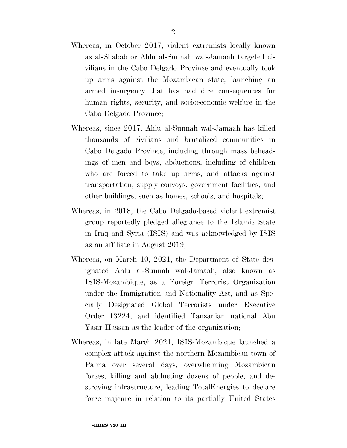- Whereas, in October 2017, violent extremists locally known as al-Shabab or Ahlu al-Sunnah wal-Jamaah targeted civilians in the Cabo Delgado Province and eventually took up arms against the Mozambican state, launching an armed insurgency that has had dire consequences for human rights, security, and socioeconomic welfare in the Cabo Delgado Province;
- Whereas, since 2017, Ahlu al-Sunnah wal-Jamaah has killed thousands of civilians and brutalized communities in Cabo Delgado Province, including through mass beheadings of men and boys, abductions, including of children who are forced to take up arms, and attacks against transportation, supply convoys, government facilities, and other buildings, such as homes, schools, and hospitals;
- Whereas, in 2018, the Cabo Delgado-based violent extremist group reportedly pledged allegiance to the Islamic State in Iraq and Syria (ISIS) and was acknowledged by ISIS as an affiliate in August 2019;
- Whereas, on March 10, 2021, the Department of State designated Ahlu al-Sunnah wal-Jamaah, also known as ISIS-Mozambique, as a Foreign Terrorist Organization under the Immigration and Nationality Act, and as Specially Designated Global Terrorists under Executive Order 13224, and identified Tanzanian national Abu Yasir Hassan as the leader of the organization;
- Whereas, in late March 2021, ISIS-Mozambique launched a complex attack against the northern Mozambican town of Palma over several days, overwhelming Mozambican forces, killing and abducting dozens of people, and destroying infrastructure, leading TotalEnergies to declare force majeure in relation to its partially United States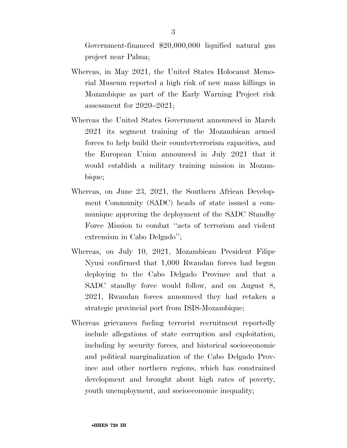Government-financed \$20,000,000 liquified natural gas project near Palma;

- Whereas, in May 2021, the United States Holocaust Memorial Museum reported a high risk of new mass killings in Mozambique as part of the Early Warning Project risk assessment for 2020–2021;
- Whereas the United States Government announced in March 2021 its segment training of the Mozambican armed forces to help build their counterterrorism capacities, and the European Union announced in July 2021 that it would establish a military training mission in Mozambique;
- Whereas, on June 23, 2021, the Southern African Development Community (SADC) heads of state issued a communique approving the deployment of the SADC Standby Force Mission to combat ''acts of terrorism and violent extremism in Cabo Delgado'';
- Whereas, on July 10, 2021, Mozambican President Filipe Nyusi confirmed that 1,000 Rwandan forces had begun deploying to the Cabo Delgado Province and that a SADC standby force would follow, and on August 8, 2021, Rwandan forces announced they had retaken a strategic provincial port from ISIS-Mozambique;
- Whereas grievances fueling terrorist recruitment reportedly include allegations of state corruption and exploitation, including by security forces, and historical socioeconomic and political marginalization of the Cabo Delgado Province and other northern regions, which has constrained development and brought about high rates of poverty, youth unemployment, and socioeconomic inequality;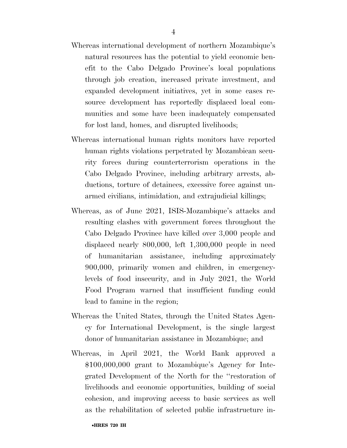- Whereas international development of northern Mozambique's natural resources has the potential to yield economic benefit to the Cabo Delgado Province's local populations through job creation, increased private investment, and expanded development initiatives, yet in some cases resource development has reportedly displaced local communities and some have been inadequately compensated for lost land, homes, and disrupted livelihoods;
- Whereas international human rights monitors have reported human rights violations perpetrated by Mozambican security forces during counterterrorism operations in the Cabo Delgado Province, including arbitrary arrests, abductions, torture of detainees, excessive force against unarmed civilians, intimidation, and extrajudicial killings;
- Whereas, as of June 2021, ISIS-Mozambique's attacks and resulting clashes with government forces throughout the Cabo Delgado Province have killed over 3,000 people and displaced nearly 800,000, left 1,300,000 people in need of humanitarian assistance, including approximately 900,000, primarily women and children, in emergencylevels of food insecurity, and in July 2021, the World Food Program warned that insufficient funding could lead to famine in the region;
- Whereas the United States, through the United States Agency for International Development, is the single largest donor of humanitarian assistance in Mozambique; and
- Whereas, in April 2021, the World Bank approved a \$100,000,000 grant to Mozambique's Agency for Integrated Development of the North for the ''restoration of livelihoods and economic opportunities, building of social cohesion, and improving access to basic services as well as the rehabilitation of selected public infrastructure in-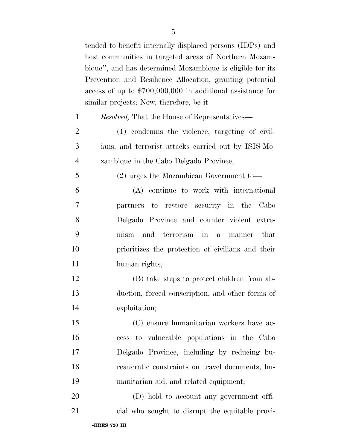tended to benefit internally displaced persons (IDPs) and host communities in targeted areas of Northern Mozambique'', and has determined Mozambique is eligible for its Prevention and Resilience Allocation, granting potential access of up to \$700,000,000 in additional assistance for similar projects: Now, therefore, be it

|  | <i>Resolved</i> , That the House of Representatives— |  |  |  |
|--|------------------------------------------------------|--|--|--|
|  | $(1)$ condemns the violence, targeting of civil-     |  |  |  |

 ians, and terrorist attacks carried out by ISIS-Mo-zambique in the Cabo Delgado Province;

(2) urges the Mozambican Government to—

 (A) continue to work with international partners to restore security in the Cabo Delgado Province and counter violent extre- mism and terrorism in a manner that prioritizes the protection of civilians and their human rights;

 (B) take steps to protect children from ab- duction, forced conscription, and other forms of exploitation;

 (C) ensure humanitarian workers have ac- cess to vulnerable populations in the Cabo Delgado Province, including by reducing bu- reaucratic constraints on travel documents, hu-manitarian aid, and related equipment;

 (D) hold to account any government offi-cial who sought to disrupt the equitable provi-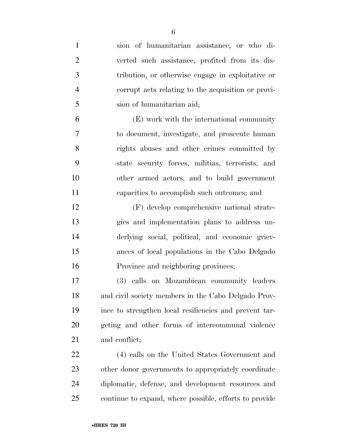| $\mathbf{1}$   | sion of humanitarian assistance, or who di-            |
|----------------|--------------------------------------------------------|
| $\overline{2}$ | verted such assistance, profited from its dis-         |
| 3              | tribution, or otherwise engage in exploitative or      |
| 4              | corrupt acts relating to the acquisition or provi-     |
| 5              | sion of humanitarian aid;                              |
| 6              | (E) work with the international community              |
| 7              | to document, investigate, and prosecute human          |
| 8              | rights abuses and other crimes committed by            |
| 9              | state security forces, militias, terrorists, and       |
| 10             | other armed actors, and to build government            |
| 11             | capacities to accomplish such outcomes; and            |
| 12             | (F) develop comprehensive national strate-             |
| 13             | gies and implementation plans to address un-           |
| 14             | derlying social, political, and economic griev-        |
| 15             | ances of local populations in the Cabo Delgado         |
| 16             | Province and neighboring provinces;                    |
| 17             | (3) calls on Mozambican community leaders              |
| 18             | and civil society members in the Cabo Delgado Prov-    |
| 19             | ince to strengthen local resiliencies and prevent tar- |
| 20             | geting and other forms of intercommunal violence       |
| 21             | and conflict;                                          |
| 22             | (4) calls on the United States Government and          |
| 23             | other donor governments to appropriately coordinate    |
| 24             | diplomatic, defense, and development resources and     |
| 25             | continue to expand, where possible, efforts to provide |